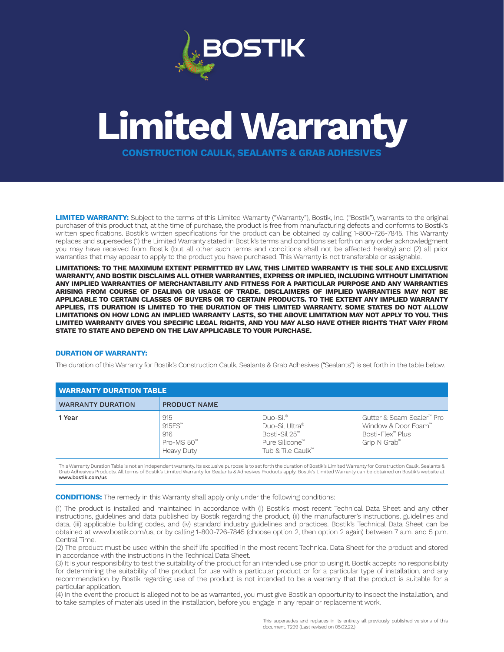

## **Limited Warranty**

**CONSTRUCTION CAULK, SEALANTS & GRAB ADHESIVES**

**LIMITED WARRANTY:** Subject to the terms of this Limited Warranty ("Warranty"), Bostik, Inc. ("Bostik"), warrants to the original purchaser of this product that, at the time of purchase, the product is free from manufacturing defects and conforms to Bostik's written specifications. Bostik's written specifications for the product can be obtained by calling 1-800-726-7845. This Warranty replaces and supersedes (1) the Limited Warranty stated in Bostik's terms and conditions set forth on any order acknowledgment you may have received from Bostik (but all other such terms and conditions shall not be affected hereby) and (2) all prior warranties that may appear to apply to the product you have purchased. This Warranty is not transferable or assignable.

**LIMITATIONS: TO THE MAXIMUM EXTENT PERMITTED BY LAW, THIS LIMITED WARRANTY IS THE SOLE AND EXCLUSIVE WARRANTY, AND BOSTIK DISCLAIMS ALL OTHER WARRANTIES, EXPRESS OR IMPLIED, INCLUDING WITHOUT LIMITATION ANY IMPLIED WARRANTIES OF MERCHANTABILITY AND FITNESS FOR A PARTICULAR PURPOSE AND ANY WARRANTIES ARISING FROM COURSE OF DEALING OR USAGE OF TRADE. DISCLAIMERS OF IMPLIED WARRANTIES MAY NOT BE APPLICABLE TO CERTAIN CLASSES OF BUYERS OR TO CERTAIN PRODUCTS. TO THE EXTENT ANY IMPLIED WARRANTY APPLIES, ITS DURATION IS LIMITED TO THE DURATION OF THIS LIMITED WARRANTY. SOME STATES DO NOT ALLOW LIMITATIONS ON HOW LONG AN IMPLIED WARRANTY LASTS, SO THE ABOVE LIMITATION MAY NOT APPLY TO YOU. THIS LIMITED WARRANTY GIVES YOU SPECIFIC LEGAL RIGHTS, AND YOU MAY ALSO HAVE OTHER RIGHTS THAT VARY FROM STATE TO STATE AND DEPEND ON THE LAW APPLICABLE TO YOUR PURCHASE.**

## **DURATION OF WARRANTY:**

The duration of this Warranty for Bostik's Construction Caulk, Sealants & Grab Adhesives ("Sealants") is set forth in the table below.

| <b>WARRANTY DURATION TABLE</b> |                                                              |                                                                                                    |                                                                                      |
|--------------------------------|--------------------------------------------------------------|----------------------------------------------------------------------------------------------------|--------------------------------------------------------------------------------------|
| <b>WARRANTY DURATION</b>       | <b>PRODUCT NAME</b>                                          |                                                                                                    |                                                                                      |
| 1 Year                         | 915<br>915FS™<br>916<br>$Pro$ -MS $50™$<br><b>Heavy Duty</b> | $DuO-Sil^{\circledcirc}$<br>Duo-Sil Ultra®<br>Bosti-Sil 25™<br>Pure Silicone™<br>Tub & Tile Caulk™ | Gutter & Seam Sealer™ Pro<br>Window & Door Foam™<br>Bosti-Flex™ Plus<br>Grip N Grab™ |

This Warranty Duration Table is not an independent warranty. Its exclusive purpose is to set forth the duration of Bostik's Limited Warranty for Construction Caulk, Sealants &<br>Grab Adhesives Products. All terms of Bostik's www.bostik.com/us

**CONDITIONS:** The remedy in this Warranty shall apply only under the following conditions:

(1) The product is installed and maintained in accordance with (i) Bostik's most recent Technical Data Sheet and any other instructions, guidelines and data published by Bostik regarding the product, (ii) the manufacturer's instructions, guidelines and data, (iii) applicable building codes, and (iv) standard industry guidelines and practices. Bostik's Technical Data Sheet can be obtained at www.bostik.com/us, or by calling 1-800-726-7845 (choose option 2, then option 2 again) between 7 a.m. and 5 p.m. Central Time.

(2) The product must be used within the shelf life specified in the most recent Technical Data Sheet for the product and stored in accordance with the instructions in the Technical Data Sheet.

(3) It is your responsibility to test the suitability of the product for an intended use prior to using it. Bostik accepts no responsibility for determining the suitability of the product for use with a particular product or for a particular type of installation, and any recommendation by Bostik regarding use of the product is not intended to be a warranty that the product is suitable for a particular application.

(4) In the event the product is alleged not to be as warranted, you must give Bostik an opportunity to inspect the installation, and to take samples of materials used in the installation, before you engage in any repair or replacement work.